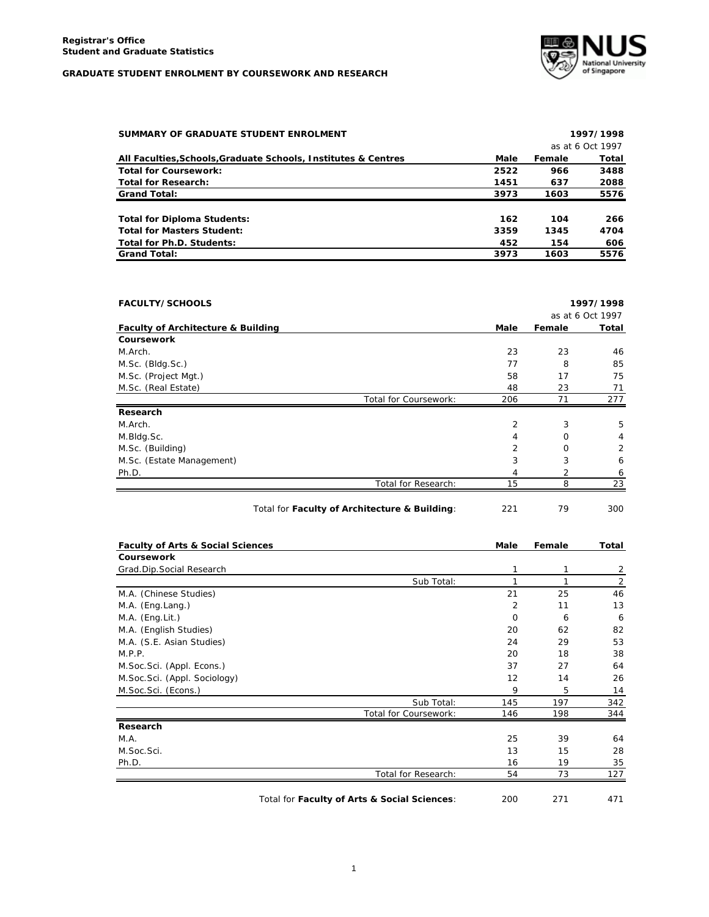

| SUMMARY OF GRADUATE STUDENT ENROLMENT                          |      |        | 1997/1998        |
|----------------------------------------------------------------|------|--------|------------------|
|                                                                |      |        | as at 6 Oct 1997 |
| All Faculties, Schools, Graduate Schools, Institutes & Centres | Male | Female | Total            |
| <b>Total for Coursework:</b>                                   | 2522 | 966    | 3488             |
| <b>Total for Research:</b>                                     | 1451 | 637    | 2088             |
| <b>Grand Total:</b>                                            | 3973 | 1603   | 5576             |
| <b>Total for Diploma Students:</b>                             | 162  | 104    | 266              |
| <b>Total for Masters Student:</b>                              | 3359 | 1345   | 4704             |
| Total for Ph.D. Students:                                      | 452  | 154    | 606              |
| <b>Grand Total:</b>                                            | 3973 | 1603   | 5576             |

| <b>FACULTY/SCHOOLS</b> |      |          | 1997/1998        |
|------------------------|------|----------|------------------|
|                        |      |          | as at 6 Oct 1997 |
|                        | Male | Female   | Total            |
|                        |      |          |                  |
|                        | 23   | 23       | 46               |
|                        | 77   | 8        | 85               |
|                        | 58   | 17       | 75               |
|                        | 48   | 23       | 71               |
| Total for Coursework:  | 206  | 71       | 277              |
|                        |      |          |                  |
|                        | 2    | 3        | 5                |
|                        | 4    | $\Omega$ | 4                |
|                        | 2    | $\Omega$ | 2                |
|                        | 3    | 3        | 6                |
|                        | 4    |          | 6                |
| Total for Research:    | 15   | 8        | 23               |
|                        |      |          |                  |

| Total for Faculty of Architecture & Building: | 221 | 300 |
|-----------------------------------------------|-----|-----|
|                                               |     |     |

| 79<br>Ξ |  |  |
|---------|--|--|
|         |  |  |

| <b>Faculty of Arts &amp; Social Sciences</b> |                       | Male     | Female | Total |
|----------------------------------------------|-----------------------|----------|--------|-------|
| <b>Coursework</b>                            |                       |          |        |       |
| Grad.Dip.Social Research                     |                       | 1        |        | 2     |
|                                              | Sub Total:            |          |        | 2     |
| M.A. (Chinese Studies)                       |                       | 21       | 25     | 46    |
| M.A. (Eng.Lang.)                             |                       | 2        | 11     | 13    |
| M.A. (Eng.Lit.)                              |                       | $\Omega$ | 6      | 6     |
| M.A. (English Studies)                       |                       | 20       | 62     | 82    |
| M.A. (S.E. Asian Studies)                    |                       | 24       | 29     | 53    |
| M.P.P.                                       |                       | 20       | 18     | 38    |
| M.Soc.Sci. (Appl. Econs.)                    |                       | 37       | 27     | 64    |
| M.Soc.Sci. (Appl. Sociology)                 |                       | 12       | 14     | 26    |
| M.Soc.Sci. (Econs.)                          |                       | 9        | 5      | 14    |
|                                              | Sub Total:            | 145      | 197    | 342   |
|                                              | Total for Coursework: | 146      | 198    | 344   |
| Research                                     |                       |          |        |       |
| M.A.                                         |                       | 25       | 39     | 64    |
| M.Soc.Sci.                                   |                       | 13       | 15     | 28    |
| Ph.D.                                        |                       | 16       | 19     | 35    |
|                                              | Total for Research:   | 54       | 73     | 127   |

Total for **Faculty of Arts & Social Sciences**: 200 271 471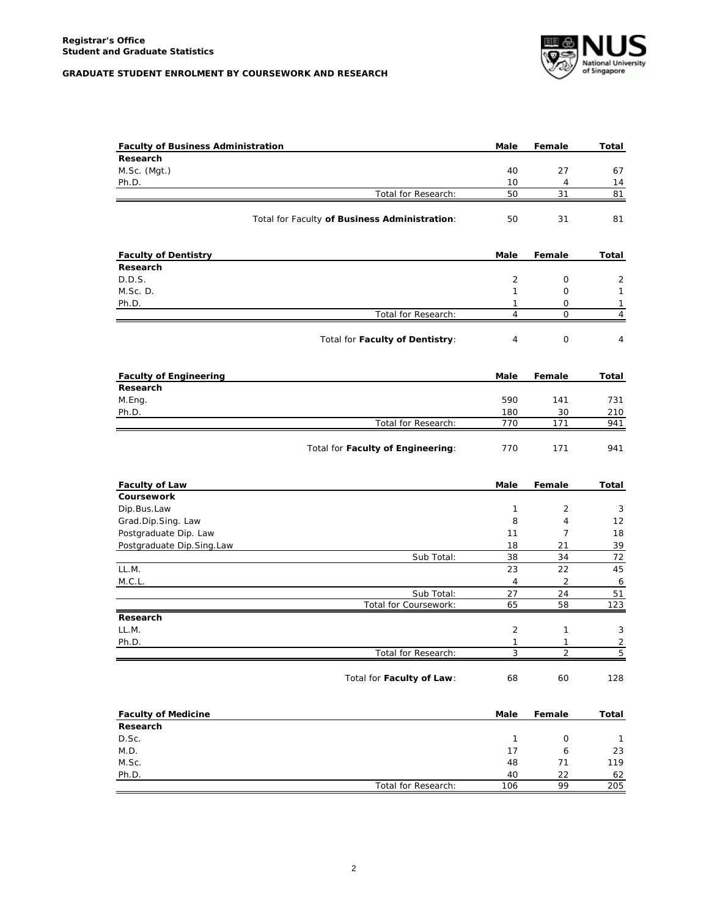

| <b>Faculty of Business Administration</b> |                                               | Male              | Female         | Total               |
|-------------------------------------------|-----------------------------------------------|-------------------|----------------|---------------------|
| Research                                  |                                               |                   |                |                     |
| M.Sc. (Mgt.)                              |                                               | 40                | 27             | 67                  |
| Ph.D.                                     |                                               | 10                | $\overline{4}$ | 14                  |
|                                           | Total for Research:                           | 50                | 31             | 81                  |
|                                           | Total for Faculty of Business Administration: | 50                | 31             | 81                  |
|                                           |                                               |                   |                |                     |
| <b>Faculty of Dentistry</b><br>Research   |                                               | Male              | Female         | Total               |
| D.D.S.                                    |                                               | 2                 | 0              | 2                   |
| M.Sc.D.                                   |                                               | $\mathbf{1}$      | 0              | 1                   |
| Ph.D.                                     |                                               | $\mathbf{1}$      | 0              | 1                   |
|                                           | Total for Research:                           | $\overline{4}$    | $\mathbf 0$    | $\overline{4}$      |
|                                           | Total for Faculty of Dentistry:               | 4                 | 0              | 4                   |
|                                           |                                               |                   |                |                     |
| <b>Faculty of Engineering</b>             |                                               | Male              | Female         | Total               |
| Research                                  |                                               |                   |                |                     |
| M.Eng.                                    |                                               | 590               | 141            | 731                 |
| Ph.D.                                     |                                               | 180               | 30             | 210                 |
|                                           | Total for Research:                           | 770               | 171            | 941                 |
|                                           | Total for Faculty of Engineering:             | 770               | 171            | 941                 |
| <b>Faculty of Law</b>                     |                                               | Male              | Female         | Total               |
| Coursework                                |                                               |                   |                |                     |
| Dip.Bus.Law                               |                                               | $\mathbf{1}$      | 2              | 3                   |
| Grad Dip.Sing. Law                        |                                               | 8                 | $\overline{4}$ | 12                  |
| Postgraduate Dip. Law                     |                                               | 11                | $\overline{7}$ | 18                  |
| Postgraduate Dip.Sing.Law                 |                                               | 18                | 21             | 39                  |
|                                           | Sub Total:                                    | 38                | 34             | 72                  |
| LL.M.                                     |                                               | 23                | 22             | 45                  |
| M.C.L.                                    |                                               | $\overline{4}$    | 2              | 6                   |
|                                           | Sub Total:                                    | 27                | 24             | 51                  |
|                                           | Total for Coursework:                         | 65                | 58             | 123                 |
| Research                                  |                                               |                   |                |                     |
| LL.M.                                     |                                               | 2                 | 1              | 3                   |
| Ph.D.                                     |                                               | $\mathbf{1}$<br>3 | 1<br>2         | $\overline{2}$<br>5 |
|                                           | Total for Research:                           |                   |                |                     |
|                                           | Total for Faculty of Law:                     | 68                | 60             | 128                 |
| <b>Faculty of Medicine</b>                |                                               | Male              | Female         | Total               |
| Research                                  |                                               |                   |                |                     |
| D.Sc.                                     |                                               | $\mathbf{1}$      | $\mathsf O$    | $\mathbf{1}$        |
| M.D.                                      |                                               | 17                | 6              | 23                  |
| M.Sc.                                     |                                               | 48                | 71             | 119                 |
| Ph.D.                                     |                                               | 40                | 22             | 62                  |
|                                           | Total for Research:                           | 106               | 99             | 205                 |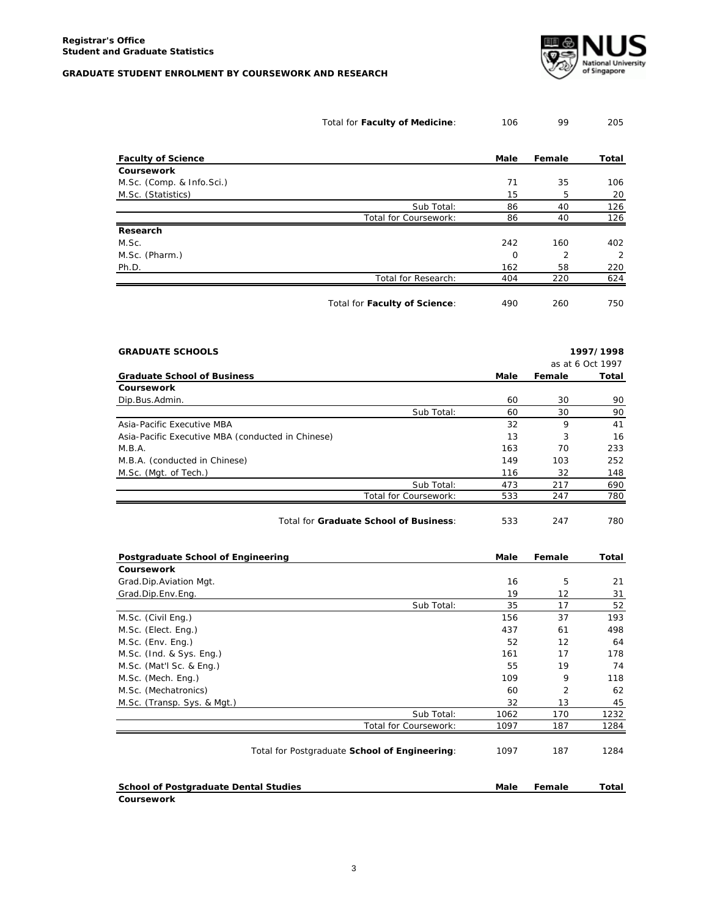

|                                                   | Total for Faculty of Medicine:                | 106        | 99                | 205              |
|---------------------------------------------------|-----------------------------------------------|------------|-------------------|------------------|
| <b>Faculty of Science</b>                         |                                               | Male       | Female            | Total            |
| Coursework                                        |                                               |            |                   |                  |
| M.Sc. (Comp. & Info.Sci.)                         |                                               | 71         | 35                | 106              |
| M.Sc. (Statistics)                                |                                               | 15         | 5                 | 20               |
|                                                   | Sub Total:                                    | 86         | 40                | 126              |
|                                                   | Total for Coursework:                         | 86         | 40                | 126              |
| Research                                          |                                               |            |                   |                  |
| M.Sc.                                             |                                               | 242        | 160               | 402              |
| M.Sc. (Pharm.)                                    |                                               | 0          | 2                 | 2                |
| Ph.D.                                             |                                               | 162        | 58                | 220              |
|                                                   | Total for Research:                           | 404        | 220               | 624              |
|                                                   | Total for Faculty of Science:                 | 490        | 260               | 750              |
| <b>GRADUATE SCHOOLS</b>                           |                                               |            |                   | 1997/1998        |
|                                                   |                                               |            |                   | as at 6 Oct 1997 |
| <b>Graduate School of Business</b>                |                                               | Male       | Female            | Total            |
| Coursework                                        |                                               |            |                   |                  |
| Dip.Bus.Admin.                                    |                                               | 60         | 30                | 90               |
|                                                   | Sub Total:                                    | 60         | 30                | 90               |
| Asia-Pacific Executive MBA                        |                                               | 32         | 9                 | 41               |
| Asia-Pacific Executive MBA (conducted in Chinese) |                                               | 13         | 3                 | 16               |
| M.B.A.                                            |                                               | 163        | 70                | 233              |
| M.B.A. (conducted in Chinese)                     |                                               | 149        | 103               | 252              |
| M.Sc. (Mgt. of Tech.)                             |                                               | 116        | 32                | 148              |
|                                                   | Sub Total:<br>Total for Coursework:           | 473<br>533 | 217<br>247        | 690<br>780       |
|                                                   |                                               |            |                   |                  |
|                                                   | Total for Graduate School of Business:        | 533        | 247               | 780              |
| Postgraduate School of Engineering                |                                               | Male       | Female            | Total            |
| Coursework                                        |                                               |            |                   |                  |
| Grad.Dip.Aviation Mgt.                            |                                               | 16         | 5                 | 21               |
| Grad.Dip.Env.Eng.                                 |                                               | 19         | $12 \overline{ }$ | 31               |
|                                                   | Sub Total:                                    | 35         | 17                | 52               |
| M.Sc. (Civil Eng.)                                |                                               | 156        | 37                | 193              |
| M.Sc. (Elect. Eng.)                               |                                               | 437        | 61                | 498              |
| M.Sc. (Env. Eng.)                                 |                                               | 52         | 12                | 64               |
| M.Sc. (Ind. & Sys. Eng.)                          |                                               | 161        | 17                | 178              |
| M.Sc. (Mat'l Sc. & Eng.)                          |                                               | 55         | 19                | 74               |
| M.Sc. (Mech. Eng.)                                |                                               | 109        | 9                 | 118              |
| M.Sc. (Mechatronics)                              |                                               | 60         | $\overline{c}$    | 62               |
| M.Sc. (Transp. Sys. & Mgt.)                       |                                               | 32         | 13                | 45               |
|                                                   | Sub Total:                                    | 1062       | 170               | 1232             |
|                                                   | Total for Coursework:                         | 1097       | 187               | 1284             |
|                                                   | Total for Postgraduate School of Engineering: | 1097       | 187               | 1284             |
| <b>School of Postgraduate Dental Studies</b>      |                                               | Male       | Female            | Total            |

**Coursework**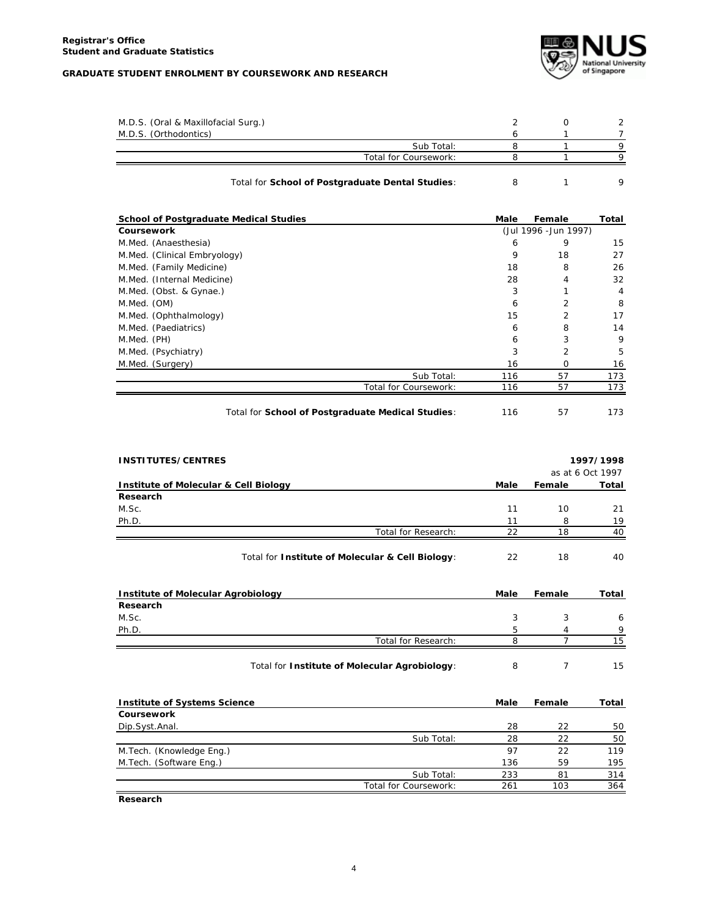

| M.D.S. (Oral & Maxillofacial Surg.) |                       |  |  |
|-------------------------------------|-----------------------|--|--|
| M.D.S. (Orthodontics)               |                       |  |  |
|                                     | Sub Total:            |  |  |
|                                     | Total for Coursework: |  |  |
|                                     |                       |  |  |

## Total for **School of Postgraduate Dental Studies**: 8 1 9

| <b>School of Postgraduate Medical Studies</b>     | Male | Female                | Total          |
|---------------------------------------------------|------|-----------------------|----------------|
| <b>Coursework</b>                                 |      | (Jul 1996 - Jun 1997) |                |
| M.Med. (Anaesthesia)                              | 6    | 9                     | 15             |
| M.Med. (Clinical Embryology)                      | 9    | 18                    | 27             |
| M.Med. (Family Medicine)                          | 18   | 8                     | 26             |
| M.Med. (Internal Medicine)                        | 28   | 4                     | 32             |
| M.Med. (Obst. & Gynae.)                           | 3    |                       | $\overline{4}$ |
| M.Med. (OM)                                       | 6    | $\overline{2}$        | 8              |
| M.Med. (Ophthalmology)                            | 15   | $\overline{2}$        | 17             |
| M.Med. (Paediatrics)                              | 6    | 8                     | 14             |
| M.Med. (PH)                                       | 6    | 3                     | 9              |
| M.Med. (Psychiatry)                               | 3    | $\overline{2}$        | 5              |
| M.Med. (Surgery)                                  | 16   | $\Omega$              | 16             |
| Sub Total:                                        | 116  | 57                    | 173            |
| Total for Coursework:                             | 116  | 57                    | 173            |
| Total for School of Postgraduate Medical Studies: | 116  | 57                    | 173            |

| <b>INSTITUTES/CENTRES</b>             |                                                  |      |        | 1997/1998        |
|---------------------------------------|--------------------------------------------------|------|--------|------------------|
|                                       |                                                  |      |        | as at 6 Oct 1997 |
| Institute of Molecular & Cell Biology |                                                  | Male | Female | Total            |
| Research                              |                                                  |      |        |                  |
| M.Sc.                                 |                                                  | 11   | 10     | 21               |
| Ph.D.                                 |                                                  | 11   | 8      | 19               |
|                                       | Total for Research:                              | 22   | 18     | 40               |
|                                       | Total for Institute of Molecular & Cell Biology: | 22   | 18     | 40               |

| Institute of Molecular Agrobiology               |        | Female | Total           |
|--------------------------------------------------|--------|--------|-----------------|
| Research                                         |        |        |                 |
| M.Sc.                                            | 3      | 3      | 6               |
| Ph.D.                                            | 5      |        | 9               |
| Total for Research:                              | 8      |        | 15              |
| Total for Institute of Molecular Agrobiology:    | 8      |        | 15              |
| <b>Institute of Systems Science</b>              | Male   | Female | Total           |
| <b>Coursework</b>                                |        |        |                 |
| $D_{\text{in}}$ $C_{\text{out}}$ $A_{\text{in}}$ | $\cap$ | $\cap$ | $\Gamma$ $\cap$ |

| Dip.Syst.Anal.           |                       | 28  |     | 50  |
|--------------------------|-----------------------|-----|-----|-----|
|                          | Sub Total:            | 28  | つつ  | 50  |
| M.Tech. (Knowledge Eng.) |                       | 97  | つつ  | 119 |
| M.Tech. (Software Eng.)  |                       | 136 | 59  | 195 |
|                          | Sub Total:            | 233 | 81  | 314 |
|                          | Total for Coursework: | 261 | 103 | 364 |

**Research**